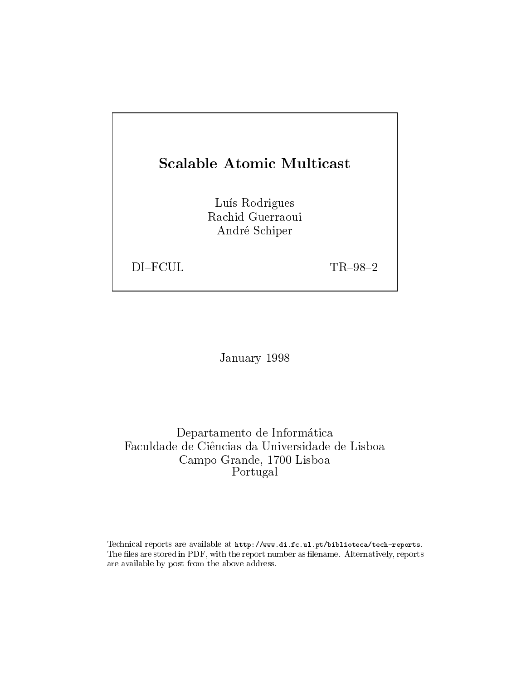# Scalable Atomic Multicast

Luís Rodrigues Rachid Guerraoui Andre Schiper

 $DI-FCUL$  TR-98-2

January 1998

Departamento de Informatica Faculdade de Ci^encias da Universidade de Lisboa Campo Grande, 1700 Lisboa Portugal

Technical reports are available at http://www.di.fc.ul.pt/biblioteca/tech-reports. The files are stored in PDF, with the report number as filename. Alternatively, reports are available by post from the above address.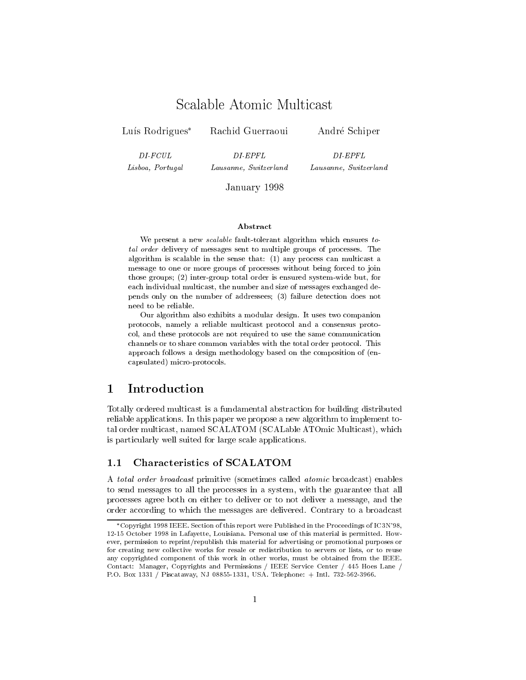## Scalable Atomic Multicast

Luís Rodrigues\*

Rachid Guerraoui

Andre Schiper

DI-FCULLisboa, Portugal

DI-EPFLLausanne, Switzerland  Lausanne, SwitzerlandDI-EPFL

January 1998

### Abstract

We present a new scalable fault-tolerant algorithm which ensures total order delivery of messages sent to multiple groups of processes. The algorithm is scalable in the sense that: (1) any process can multicast a message to one or more groups of processes without being forced to jointhose groups; (2) inter-group total order is ensured system-wide but, foreach individual multicast, the number and size of messages exchanged depends only on the number of addressees; (3) failure detection does not need to be reliable.

Our algorithm also exhibits a modular design. It uses two companion protocols, namely <sup>a</sup> reliable multicast protocol and <sup>a</sup> consensus protocol, and these protocols are not required to use the same communicationchannels or to share common variables with the total order protocol. This approach follows a design methodology based on the composition of (encapsulated) micro-protocols.

#### $\mathbf{1}$ Introduction

Totally ordered multicast is a fundamental abstraction for building distributed reliable applications. In this paper we propose a new algorithm to implement total order multicast, named SCALATOM (SCALable ATOmic Multicast), which is particularly well suited for large scale applications.

#### $1.1$ Characteristics of SCALATOM

A total order broadcast primitive (sometimes called atomic broadcast) enables to send messages to all the processes in a system, with the guarantee that all processes agree both on either to deliver or to not deliver a message, and the order according to which the messages are delivered. Contrary to a broadcast

Copyright 1998 IEEE. Section of this report were Published in the Proceedings of IC3N'98, 12-15 October 1998 in Lafayette, Louisiana. Personal use of this material is permitted. How ever, permission to reprint/republish this material for advertising or promotional purposes or for creating new collective works for resale or redistribution to servers or lists, or to reuse any copyrighted component of this work in other works, must be obtained from the IEEE. Contact: Manager, Copyrights and Permissions / IEEE Service Center / 445 Hoes Lane / P.O. Box 1331 / Piscataway, NJ 08855-1331, USA. Telephone: + Intl. 732-562-3966.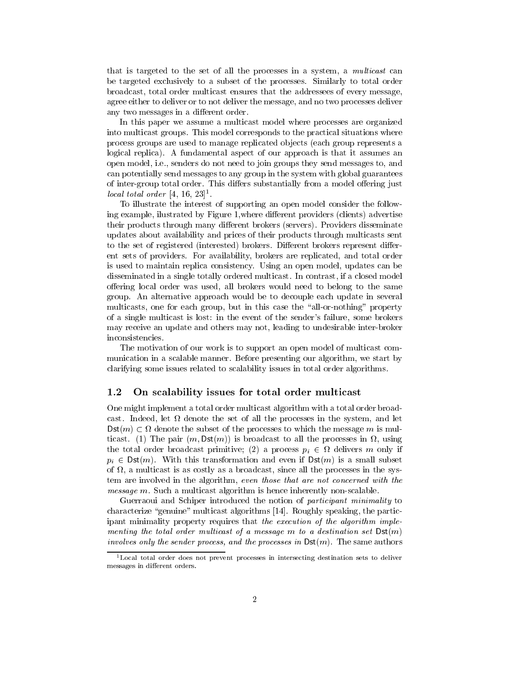that is targeted to the set of all the processes in a system, a multicast can be targeted exclusively to a subset of the processes. Similarly to total order broadcast, total order multicast ensures that the addressees of every message, agree either to deliver or to not deliver the message, and no two processes deliver any two messages in a different order.

In this paper we assume a multicast model where processes are organized into multicast groups. This model corresponds to the practical situations where process groups are used to manage replicated ob jects (each group represents a logical replica). A fundamental aspect of our approach isthat it assumes an open model, i.e., senders do not need to join groups they send messages to, and can potentially send messages to any group in the system with global guarantees of inter-group total order. This differs substantially from a model offering just local total order  $[4, 16, 23]$ <sup>1</sup>.

To illustrate the interest of supporting an open model consider the following example, ilustrated by Figure 1, where different providers (clients) advertise their products through many different brokers (servers). Providers disseminate updates about availability and prices of their products through multicasts sent to the set of registered (interested) brokers. Different brokers represent different sets of providers. For availability, brokers are replicated, and total order is used to maintain replica consistency. Using an open model, updates can be disseminated in a single totally ordered multicast. In contrast, if a closed model offering local order was used, all brokers would need to belong to the same group. An alternative approach would be to decouple each update in several multicasts, one for each group, but in this case the "all-or-nothing" property of a single multicast is lost: in the event of the sender's failure, some brokers may receive an update and others may not, leading to undesirable inter-broker inconsistencies.

The motivation of our work is to support an open model of multicast com munication in a scalable manner. Before presenting our algorithm, we start by clarifying some issues related to scalability issues in total order algorithms.

#### On scalability issues for total order multicast  $1.2$

One might implement a total order multicast algorithm with a total order broadcast. Indeed, in the set of all the set of all the system, and let  $\mathcal{C}_{\mathcal{A}}$  $\mathrm{Det}(m) \subset \Omega$  denote the subset of the processes to which the message m is mul- $\alpha$  ,  $\alpha$  and  $\alpha$  are pair (m)  $\alpha$  is the processes to all the processes in  $\alpha$ , and  $\beta$ the total order broadcast primitive; (2) a process  $p_i \in \Omega$  delivers m only if  $p_i \in \text{Dst}(m)$ . With this transformation and even if  $\text{Dst}(m)$  is a small subset of , a multicast is as costly as a broadcast, since all the processes in the system are involved in the algorithm, even those that are not concerned with the *message m.* Such a multicast algorithm is hence inherently non-scalable.

Guerraoui and Schiper introduced the notion of participant minimality to characterize "genuine" multicast algorithms  $[14]$ . Roughly speaking, the participant minimality property requires that the execution of the algorithm implementing the total order multicast of a message m to a destination set  $Dst(m)$ involves only the sender process, and the processes in  $\text{Dst}(m)$ . The same authors

 $1$ Local total order does not prevent processes in intersecting destination sets to deliver messages in different orders. messages in dierent orders.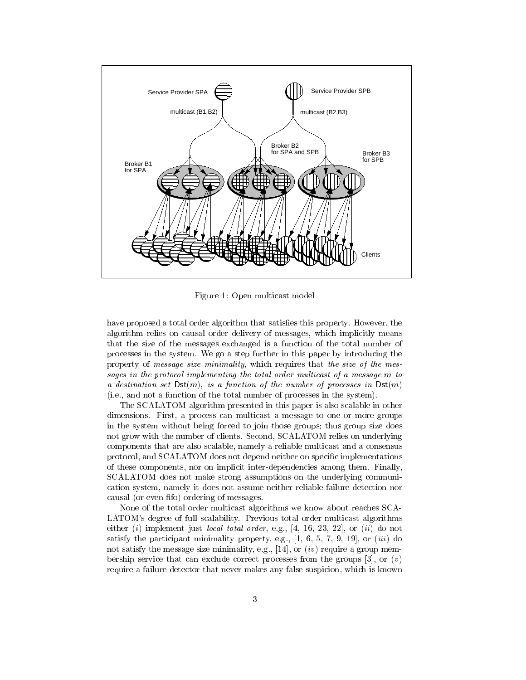

Figure 1: Open multicast model

have proposed a total order algorithm that satisfies this property. However, the algorithm relies on causal order delivery of messages, which implicitly means that the size of the messages exchanged is a function of the total number of processes in the system. We go a step further in this paper by introducing the property of message size minimality, which requires that the size of the messages in the protocol implementing the total order multicast of a message <sup>m</sup> to a destination set  $Dst(m)$ , is a function of the number of processes in  $Dst(m)$ (i.e., and not a function of the total number of processes in the system).

The SCALATOM algorithm presented in this paper is also scalable in other dimensions. First, a process can multicast a message to one or more groups in the system without being forced to join those groups; thus group size does not grow with the number of clients. Second, SCALATOM relies on underlying components that are also scalable, namely a reliable multicast and a consensus protocol, and SCALATOM does not depend neither on specic implementations of these components, nor on implicit inter-dependencies among them. Finally, SCALATOM does not make strong assumptions on the underlying communication system, namely it does not assume neither reliable failure detection nor causal (or even fifo) ordering of messages.

None of the total order multicast algorithms we know about reaches SCA-LATOM's degree of full scalability. Previous total order multicast algorithms either  $(i)$  implement just *local total order*, e.g., [4, 16, 23, 22], or  $(ii)$  do not satisfy the participant minimality property, e.g.,  $[1, 6, 5, 7, 9, 19]$ , or  $(iii)$  do not satisfy the message size minimality, e.g.,  $[14]$ , or  $(iv)$  require a group membership service that can exclude correct processes from the groups  $[3]$ , or  $(v)$ require a failure detector that never makes any false suspicion, which is known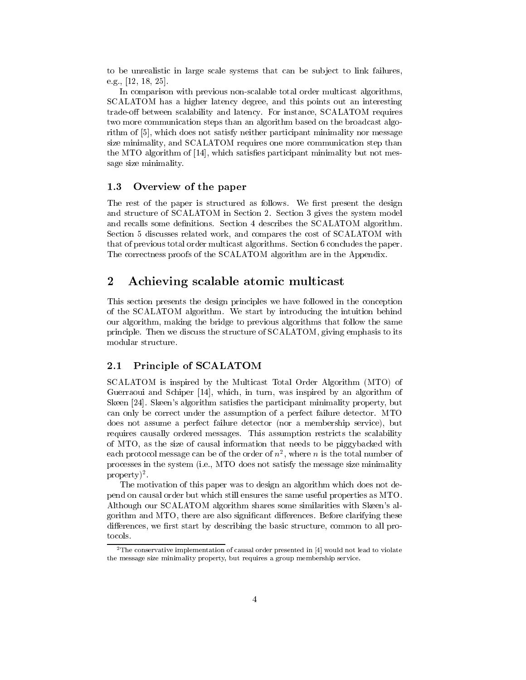to be unrealistic in large scale systems that can be subject to link failures, e.g., [12, 18, 25].

In comparison with previous non-scalable total order multicast algorithms, SCALATOM has a higher latency degree, and this points out an interesting trade-off between scalability and latency. For instance, SCALATOM requires two more communication steps than an algorithm based on the broadcast algorithm of [5], which does not satisfy neither participant minimality nor message size minimality, and SCALATOM requires one more communication step than the MTO algorithm of  $[14]$ , which satisfies participant minimality but not message size minimality.

#### $1.3$ Overview of the paper

The rest of the paper is structured as follows. We first present the design and structure of SCALATOM in Section 2. Section 3 gives the system model and recalls some definitions. Section 4 describes the SCALATOM algorithm. Section 5 discusses related work, and compares the cost of SCALATOM with that of previous total order multicast algorithms. Section 6 concludes the paper. The correctness proofs of the SCALATOM algorithm are in the Appendix.

#### $\overline{2}$ Achieving scalable atomic multicast

This section presents the design principles we have followed in the conception of the SCALATOM algorithm. We start by introducing the intuition behind our algorithm, making the bridge to previous algorithms that follow the same principle. Then we discuss the structure of SCALATOM, giving emphasis to its modular structure.

#### 2.1 Principle of SCALATOM

SCALATOM is inspired by the Multicast Total Order Algorithm (MTO) of Guerraoui and Schiper [14], which, in turn, was inspired by an algorithm of Skeen [24]. Skeen's algorithm satisfies the participant minimality property, but can only be correct under the assumption of a perfect failure detector. MTO does not assume a perfect failure detector (nor a membership service), but requires causally ordered messages. This assumption restricts the scalability of MTO, as the size of causal information that needs to be piggybacked with each protocol message can be of the order of  $n$  , where  $n$  is the total number of processes in the system (i.e., MTO does not satisfy the message size minimality  $\text{property}$ ).

The motivation of this paper was to design an algorithm which does not depend on causal order but which still ensures the same useful properties as MTO. Although our SCALATOM algorithm shares some similarities with Skeen's algorithm and MTO, there are also significant differences. Before clarifying these differences, we first start by describing the basic structure, common to all protocols.

 $^{2}$ The conservative implementation of causal order presented in [4] would not lead to violate the message size minimality property, but requires a group membership service.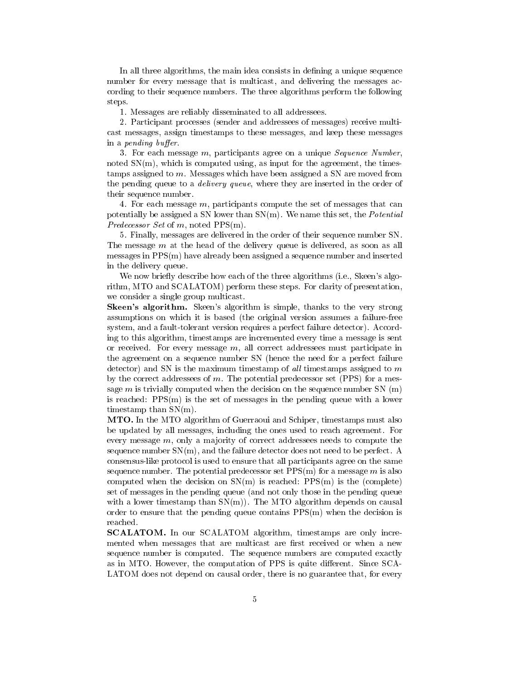In all three algorithms, the main idea consists in defining a unique sequence number for every message that is multicast, and delivering the messages according to their sequence numbers. The three algorithms perform the following steps.

1. Messages are reliably disseminated to all addressees.

2. Participant processes (sender and addressees of messages) receive multicast messages, assign timestamps to these messages, and keep these messages in a *pending buffer*.

3. For each message  $m$ , participants agree on a unique  $Sequence$  Number, noted  $SN(m)$ , which is computed using, as input for the agreement, the timestamps assigned to m. Messages which have been assigned a SN are moved from the pending queue to a *delivery queue*, where they are inserted in the order of their sequence number.

4. For each message m, participants compute the set of messages that can potentially be assigned a SN lower than  $SN(m)$ . We name this set, the *Potential* Predecessor Set of m, noted PPS(m).

5. Finally, messages are delivered in the order of their sequence number SN. The message <sup>m</sup> at the head of the delivery queue is delivered, as soon as all messages in PPS(m) have already been assigned a sequence number and inserted in the delivery queue.

We now briefly describe how each of the three algorithms (i.e., Skeen's algorithm, MTO and SCALATOM) perform these steps. For clarity of presentation, we consider a single group multicast.

Skeen's algorithm. Skeen's algorithm is simple, thanks to the very strong assumptions on which it is based (the original version assumes a failure-free system, and a fault-tolerant version requires a perfect failure detector). According to this algorithm, timestamps are incremented every time a message is sent or received. For every message  $m$ , all correct addressees must participate in the agreement on a sequence number SN (hence the need for a perfect failure detector) and SN is the maximum timestamp of all timestamps assigned to  $m$ by the correct addressees of m. The potential predecessor set  $(PPS)$  for a message  $m$  is trivially computed when the decision on the sequence number  $SN(m)$ is reached:  $PPS(m)$  is the set of messages in the pending queue with a lower timestamp than SN(m).

MTO. In the MTO algorithm of Guerraoui and Schiper, timestamps must also be updated by all messages, including the ones used to reach agreement. For every message  $m$ , only a majority of correct addressees needs to compute the sequence number  $SN(m)$ , and the failure detector does not need to be perfect. A consensus-like protocol is used to ensure that all participants agree on the same sequence number. The potential predecessor set  $PPS(m)$  for a message m is also computed when the decision on  $SN(m)$  is reached:  $PPS(m)$  is the (complete) set of messages in the pending queue (and not only those in the pending queue with a lower timestamp than  $SN(m)$ . The MTO algorithm depends on causal order to ensure that the pending queue contains  $PPS(m)$  when the decision is reached.

SCALATOM. In our SCALATOM algorithm, timestamps are only incremented when messages that are multicast are first received or when a new sequence number is computed. The sequence numbers are computed exactly as in MTO. However, the computation of PPS is quite different. Since SCA-LATOM does not depend on causal order, there is no guarantee that, for every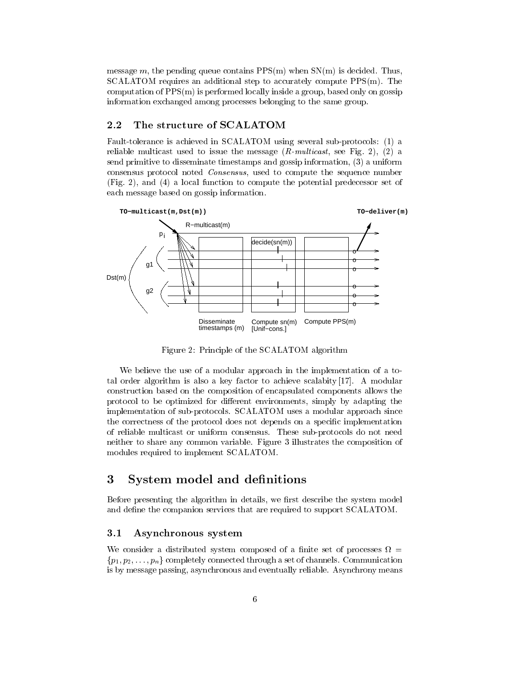message m, the pending queue contains  $PPS(m)$  when  $SN(m)$  is decided. Thus, SCALATOM requires an additional step to accurately compute PPS(m). The computation of PPS(m) is performed locally inside a group, based only on gossip information exchanged among processes belonging to the same group.

### 2.2 The structure of SCALATOM

Fault-tolerance is achieved in SCALATOM using several sub-protocols: (1) a reliable multicast used to issue the message  $(R\text{-}multicast, \text{ see Fig. 2}), (2)$  a send primitive to disseminate timestamps and gossip information, (3) a uniform consensus protocol noted Consensus, used to compute the sequence number (Fig. 2), and (4) a local function to compute the potential predecessor set of each message based on gossip information.



Figure 2: Principle of the SCALATOM algorithm

We believe the use of a modular approach in the implementation of a total order algorithm is also a key factor to achieve scalabity [17]. A modular construction based on the composition of encapsulated components allows the protocol to be optimized for different environments, simply by adapting the implementation of sub-protocols. SCALATOM uses a modular approach since the correctness of the protocol does not depends on a specic implementation of reliable multicast or uniform consensus. These sub-protocols do not need neither to share any common variable. Figure 3 illustrates the composition of modules required to implement SCALATOM.

### System model and definitions 3

Before presenting the algorithm in details, we first describe the system model and define the companion services that are required to support SCALATOM.

### 3.1 Asynchronous system

which consider a distribution of a distributed system composed of a set of a set of processes at the set of a s  $\{p_1, p_2, \ldots, p_n\}$  completely connected through a set of channels. Communication is by message passing, asynchronous and eventually reliable. Asynchrony means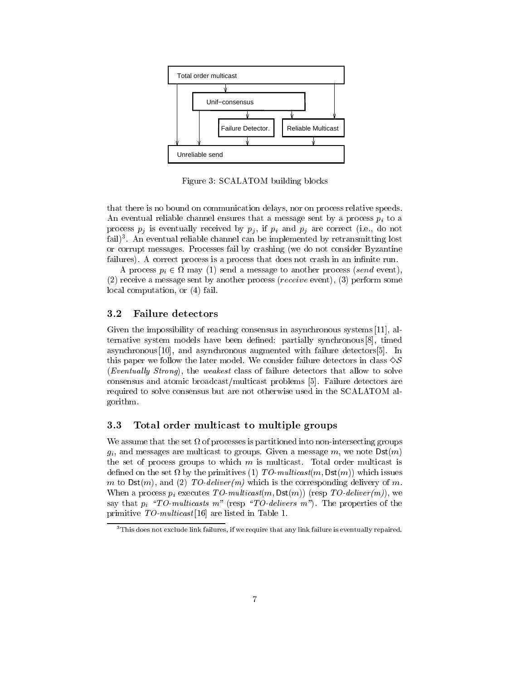

Figure 3: SCALATOM building blocks

that there is no bound on communication delays, nor on process relative speeds. An eventual reliable channel ensures that a message sent by a process  $p_i$  to a process  $p_i$  is eventually received by  $p_i$ , if  $p_i$  and  $p_j$  are correct (i.e., do not rail)". An eventual reliable channel can be implemented by retransmitting lost or corrupt messages. Processes fail by crashing (we do not consider Byzantine failures). A correct process is a process that does not crash in an infinite run.

A process  $p_i \in \Omega$  may (1) send a message to another process (send event), (2) receive a message sent by another process (receive event), (3) perform some local computation, or (4) fail.

#### $3.2$ **Failure detectors**

Given the impossibility of reaching consensus in asynchronous systems [11], alternative system models have been defined: partially synchronous [8], timed asynchronous [10], and asynchronous augmented with failure detectors[5]. In this paper we follow the later model. We consider failure detectors in class  $\Diamond S$ (*Eventually Strong*), the *weakest* class of failure detectors that allow to solve consensus and atomic broadcast/multicast problems [5]. Failure detectors are required to solve consensus but are not otherwise used in the SCALATOM algorithm.

### 3.3 Total order multicast to multiple groups

We assume that the set of processes is partitioned into non-intersecting groups  $g_i$ , and messages are multicast to groups. Given a message m, we note  $\text{Dst}(m)$ the set of process groups to which  $m$  is multicast. Total order multicast is  $\alpha$  defined on the set  $\beta$  , the primitives (1) T  $\beta$  models of  $\beta$  ,  $\beta$  ,  $\beta$  ,  $\beta$  ,  $\beta$  ,  $\beta$  $m \sim 2$  Dstriver (2) To-delivere (2) To-delivery matrix is the corresponding delivery of  $m$ . When a process  $p_i$  executes TO-multicast $(m, \text{Dst}(m))$  (resp TO-deliver $(m)$ ), we say that  $p_i$  "TO-multicasts m" (resp "TO-delivers m"). The properties of the primitive TO-multicast [16] are listed in Table 1.

<sup>3</sup>This does not exclude link failures, if we require that any link failure is eventually repaired.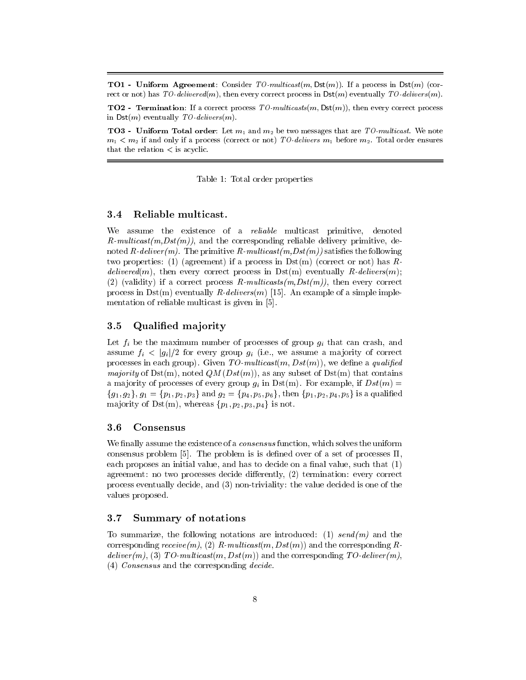**TO1** - Uniform Agreement: Consider  $TO$ -multicast $(m, \text{Dst}(m))$ . If a process in  $\text{Dst}(m)$  (correct or not) has  $T\cup$  achivered m), then every correct process in Dst(m) eventually  $T\cup$  achivers(m).

**TO2** - Termination: If a correct process  $TO\text{-}multicasts(m, \text{Dst}(m))$ , then every correct process In  $D$ st( $m$ ) eventually  $10$ -delivers( $m$ ).

**TO3** - Uniform Total order: Let  $m_1$  and  $m_2$  be two messages that are TO-multicast. We note  $m_1 < m_2$  if and only if a process (correct or not) TO-delivers  $m_1$  before  $m_2$ . Total order ensures that the relation <sup>&</sup>lt; is acyclic.

Table 1: Total order properties

#### 3.4 Reliable multicast.

We assume the existence of a *reliable* multicast primitive, denoted  $R$ -multicast $(m, Dst(m))$ , and the corresponding reliable delivery primitive, denoted R-deliver $(m)$ . The primitive R-multicast $(m, Dst(m))$  satisfies the following two properties: (1) (agreement) if a process in  $Dst(m)$  (correct or not) has  $R$ delivered(m), then every correct process in Dst(m) eventually R-delivers(m); (2) (validity) if a correct process  $R$ -multicasts $(m, Dst(m))$ , then every correct process in  $Dst(m)$  eventually R-delivers $(m)$  [15]. An example of a simple implementation of reliable multicast is given in [5].

### 3.5 Qualied ma jority

Let  $f_i$  be the maximum number of processes of group  $g_i$  that can crash, and assume  $f_i < |g_i|/2$  for every group  $g_i$  (i.e., we assume a majority of correct processes in each group). Given  $TO$ -multicast $(m, Dst(m))$ , we define a qualified majority of  $Dst(m)$ , noted  $QM(Dst(m))$ , as any subset of  $Dst(m)$  that contains a majority of processes of every group  $g_i$  in Dst(m). For example, if  $Dst(m)$  ${g_1, g_2}, g_1 = {p_1, p_2, p_3}$  and  $g_2 = {p_4, p_5, p_6}$ , then  ${p_1, p_2, p_4, p_5}$  is a qualified majority of Dst(m), whereas  $\{p_1, p_2, p_3, p_4\}$  is not.

We finally assume the existence of a *consensus* function, which solves the uniform consensus problem [5]. The problem is is defined over of a set of processes  $\Pi$ , each proposes an initial value, and has to decide on a final value, such that  $(1)$ agreement: no two processes decide differently, (2) termination: every correct process eventually decide, and (3) non-triviality: the value decided is one of the values proposed.

#### $3.7$ Summary of notations

To summarize, the following notations are introduced: (1)  $send(m)$  and the corresponding  $receiver(m), (2)$  R-multicast $(m, Dst(m))$  and the corresponding Rdeliver(m), (3) TO-multicast(m,  $Dst(m)$ ) and the corresponding TO-deliver(m), (4) Consensus and the corresponding decide.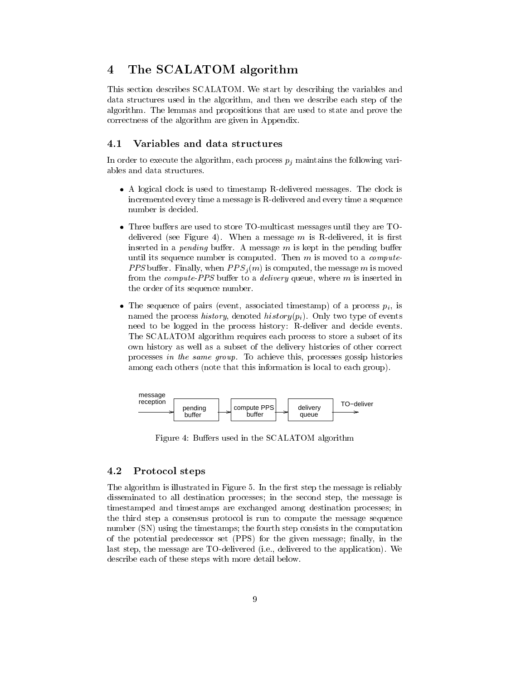#### $\overline{4}$ The SCALATOM algorithm

This section describes SCALATOM. We start by describing the variables and data structures used in the algorithm, and then we describe each step of the algorithm. The lemmas and propositions that are used to state and prove the correctness of the algorithm are given in Appendix.

### 4.1 Variables and data structures

In order to execute the algorithm, each process  $p_j$  maintains the following variables and data structures.

- A logical clock is used to timestamp R-delivered messages. The clock is incremented every time a message is R-delivered and every time a sequence number is decided.
- $\bullet$  1 nree buffers are used to store TO-multicast messages until they are TOdelivered (see Figure 4). When a message  $m$  is R-delivered, it is first inserted in a *pending* buffer. A message  $m$  is kept in the pending buffer until its sequence number is computed. Then  $m$  is moved to a *compute*-*PPS* buffer. Finally, when  $PPS_i(m)$  is computed, the message m is moved from the *compute-PPS* buffer to a *delivery* queue, where  $m$  is inserted in the order of its sequence number.
- $\bullet$  The sequence of pairs (event, associated timestamp) of a process  $p_i$ , is named the process history, denoted history $(p_i)$ . Only two type of events need to be logged in the process history: R-deliver and decide events. The SCALATOM algorithm requires each process to store a subset of its own history as well as a subset of the delivery histories of other correct processes in the same group. To achieve this, processes gossip histories among each others (note that this information is local to each group).



Figure 4: Buffers used in the SCALATOM algorithm

### 4.2 Protocol steps

The algorithm is illustrated in Figure 5. In the first step the message is reliably disseminated to all destination processes; in the second step, the message is timestamped and timestamps are exchanged among destination processes; in the third step a consensus protocol is run to compute the message sequence number (SN) using the timestamps; the fourth step consists in the computation of the potential predecessor set (PPS) for the given message; finally, in the last step, the message are TO-delivered (i.e., delivered to the application). We describe each of these steps with more detail below.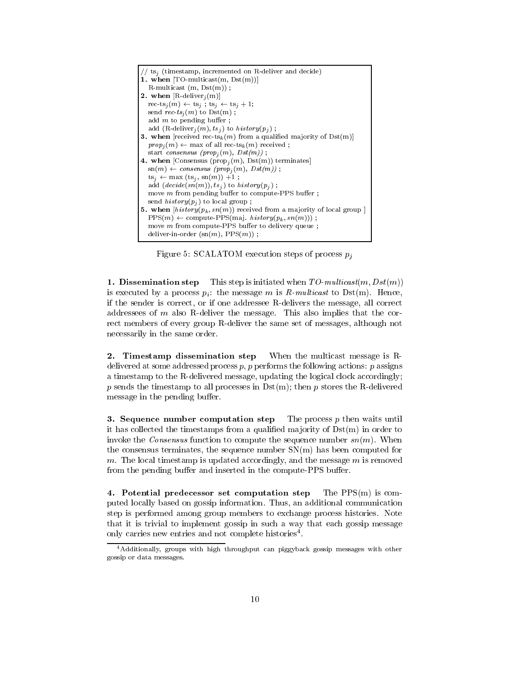

Figure 5: SCALATOM execution steps of process  $p_j$ 

1. Dissemination step This step is initiated when  $TO\text{-}multicast(m, Dst(m))$ is executed by a process  $p_i$ : the message m is R-multicast to Dst(m). Hence, if the sender is correct, or if one addressee R-delivers the message, all correct addressees of  $m$  also R-deliver the message. This also implies that the correct members of every group R-deliver the same set of messages, although not necessarily in the same order.

2. Timestamp dissemination step When the multicast message is Rdelivered at some addressed process  $p$ ,  $p$  performs the following actions:  $p$  assigns a timestamp to the R-delivered message, updating the logical clock accordingly; p sends the timestamp to all processes in Dst(m); then <sup>p</sup> stores the R-delivered message in the pending buffer.

**3. Sequence number computation step** The process  $p$  then waits until it has collected the timestamps from a qualified majority of  $Dst(m)$  in order to invoke the *Consensus* function to compute the sequence number  $sn(m)$ . When the consensus terminates, the sequence number  $SN(m)$  has been computed for m. The local timestamp is updated accordingly, and the message  $m$  is removed from the pending buffer and inserted in the compute-PPS buffer.

4. Potential predecessor set computation step The PPS(m) is computed locally based on gossip information. Thus, an additional communication step is performed among group members to exchange process histories. Note that it is trivial to implement gossip in such a way that each gossip message only carries new entries and not complete mistories .

<sup>4</sup>Additionally, groups with high throughput can piggyback gossip messages with other gossip or data messages.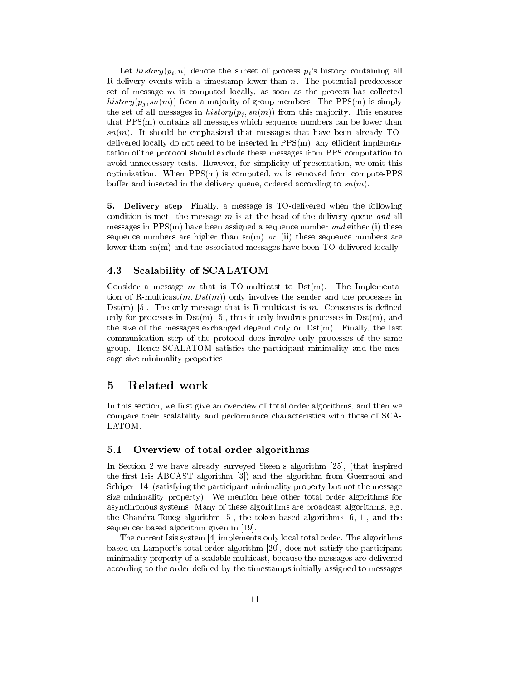Let  $history(p_i, n)$  denote the subset of process  $p_i$ 's history containing all R-delivery events with a timestamp lower than  $n$ . The potential predecessor set of message  $m$  is computed locally, as soon as the process has collected history( $p_i$ , sn(m)) from a majority of group members. The PPS(m) is simply the set of all messages in  $history(p_j, sn(m))$  from this majority. This ensures that PPS(m) contains all messages which sequence numbers can be lower than  $sn(m)$ . It should be emphasized that messages that have been already TOdelivered locally do not need to be inserted in  $PPS(m)$ ; any efficient implementation of the protocol should exclude these messages from PPS computation to avoid unnecessary tests. However, for simplicity of presentation, we omit this optimization. When  $PPS(m)$  is computed, m is removed from compute-PPS buffer and inserted in the delivery queue, ordered according to  $sn(m)$ .

5. Delivery step Finally, a message is TO-delivered when the following condition is met: the message  $m$  is at the head of the delivery queue and all messages in  $PPS(m)$  have been assigned a sequence number and either (i) these sequence numbers are higher than  $\text{sn}(m)$  or (ii) these sequence numbers are lower than sn(m) and the associated messages have been TO-delivered locally.

#### 4.3 Scalability of SCALATOM

Consider a message  $m$  that is TO-multicast to Dst $(m)$ . The Implementation of R-multicast $(m, Dst(m))$  only involves the sender and the processes in Dst(m) [5]. The only message that is R-multicast is  $m$ . Consensus is defined only for processes in  $Dst(m)$  [5], thus it only involves processes in  $Dst(m)$ , and the size of the messages exchanged depend only on  $Dst(m)$ . Finally, the last communication step of the protocol does involve only processes of the same group. Hence SCALATOM satisfies the participant minimality and the message size minimality properties.

#### 5 5 Related work

In this section, we first give an overview of total order algorithms, and then we compare their scalability and performance characteristics with those of SCA-LATOM.

### 5.1 Overview of total order algorithms

In Section 2 we have already surveyed Skeen's algorithm [25], (that inspired the first Isis ABCAST algorithm [3]) and the algorithm from Guerraoui and Schiper [14] (satisfying the participant minimality property but not the message size minimality property). We mention here other total order algorithms for asynchronous systems. Many of these algorithms are broadcast algorithms, e.g. the Chandra-Toueg algorithm [5], the token based algorithms [6, 1], and the sequencer based algorithm given in [19].

The current Isis system [4] implements only local total order. The algorithms based on Lamport's total order algorithm [20], does not satisfy the participant minimality property of a scalable multicast, because the messages are delivered according to the order defined by the timestamps initially assigned to messages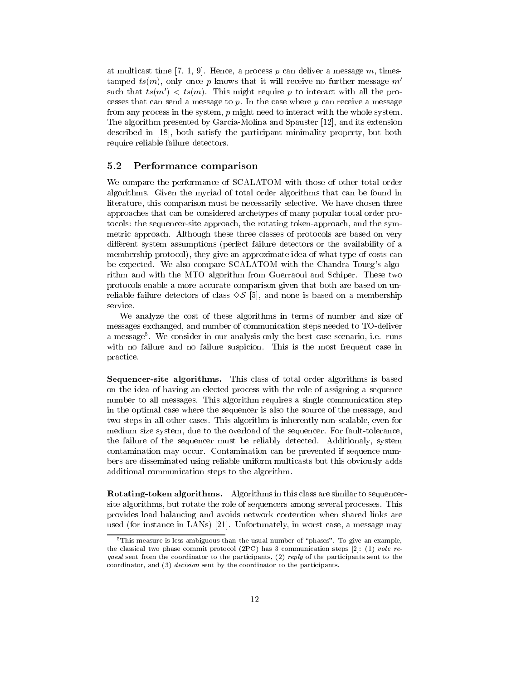at multicast time [7, 1, 9]. Hence, a process  $p$  can deliver a message  $m$ , timestamped  $ts(m)$ , only once p knows that it will receive no further message  $m'$ such that  $ts(m') < ts(m)$ . This might require p to interact with all the processes that can send a message to p. In the case where p can receive a message from any process in the system,  $p$  might need to interact with the whole system. The algorithm presented by Garcia-Molina and Spauster [12], and its extension described in [18], both satisfy the participant minimality property, but both require reliable failure detectors.

### 5.2 Performance comparison

We compare the performance of SCALATOM with those of other total order algorithms. Given the myriad of total order algorithms that can be found in literature, this comparison must be necessarily selective. We have chosen three approaches that can be considered archetypes of many popular total order protocols: the sequencer-site approach, the rotating token-approach, and the symmetric approach. Although these three classes of protocols are based on very different system assumptions (perfect failure detectors or the availability of a membership protocol), they give an approximate idea of what type of costs can be expected. We also compare SCALATOM with the Chandra-Toueg's algorithm andwith the MTO algorithm from Guerraoui and Schiper. These two protocols enable a more accurate comparison given that both are based on unreliable failure detectors of class  $\Diamond S$  [5], and none is based on a membership service.

We analyze the cost of these algorithms in terms of number and size of messages exchanged, and number of communication steps needed to TO-deliver a message . We consider in our analysis only the best case scenario, i.e. runs with no failure and no failure suspicion. This is the most frequent case in practice.

Sequencer-site algorithms. This class of total order algorithms is based on the idea of having an elected process with the role of assigning a sequence number to all messages. This algorithm requires a single communication step in the optimal case where the sequencer is also the source of the message, and two steps in all other cases. This algorithm is inherently non-scalable, even for medium size system, due to the overload of the sequencer. For fault-tolerance, the failure of the sequencer must be reliably detected. Additionaly, system contamination may occur. Contamination can be prevented if sequence numbers are disseminated using reliable uniform multicasts but this obviously adds additional communication steps to the algorithm.

Rotating-token algorithms. Algorithms in this class are similar to sequencersite algorithms, but rotate the role of sequencers among several processes. This provides load balancing and avoids network contention when shared links are used (for instance in LANs) [21]. Unfortunately, in worst case, a message may

 $5$ This measure is less ambiguous than the usual number of "phases". To give an example, the classical two phase commit protocol (2PC) has 3 communication steps [2]: (1) vote request sent from the coordinator to the participants,  $(2)$  reply of the participants sent to the coordinator, and (3) decision sent by the coordinator to the participants.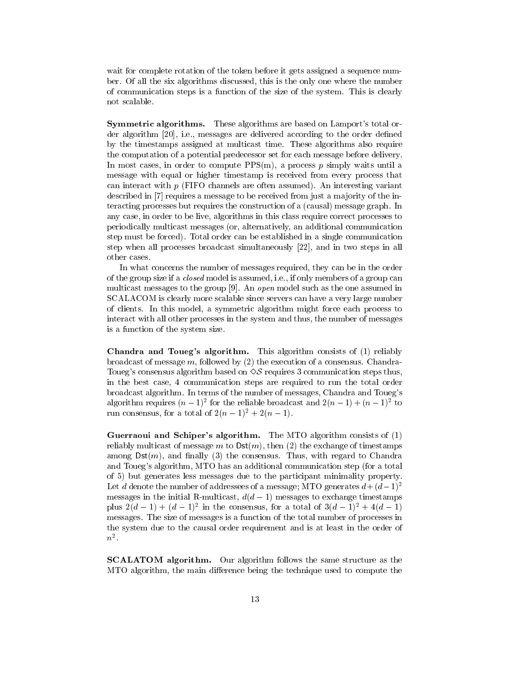wait for complete rotation of the token before it gets assigned a sequence number. Of all the six algorithms discussed, this is the only one where the number of communication steps is a function of the size of the system. This is clearly not scalable.

Symmetric algorithms. These algorithms are based on Lamport's total order algorithm [20], i.e., messages are delivered according to the order defined by the timestamps assigned at multicast time. These algorithms also require the computation of a potential predecessor set for each message before delivery. In most cases, in order to compute  $PPS(m)$ , a process p simply waits until a message with equal or higher timestamp is received from every process that can interact with <sup>p</sup> (FIFO channels are often assumed). An interesting variant described in [7] requires a message to be received from just a majority of the interacting processes but requires the construction of a (causal) message graph. In any case, in order to be live, algorithms in this class require correct processes to periodically multicast messages (or, alternatively, an additional communication step must be forced). Total order can be established in a single communication step when all processes broadcast simultaneously [22], and in two steps in all other cases.

In what concerns the number of messages required, they can be in the order of the group size if a closed model is assumed, i.e., if only members of a group can multicast messages to the group [9]. An open model such as the one assumed in SCALACOM is clearly more scalable since servers can have a very large number of clients. In this model, a symmetric algorithm might force each process to interact with all other processes in the system and thus, the number of messages is a function of the system size.

Chandra and Toueg's algorithm. This algorithm consists of (1) reliably broadcast of message m, followed by (2) the execution of a consensus. Chandra-Toueg's consensus algorithm based on  $\Diamond S$  requires 3 communication steps thus, in the best case, 4 communication steps are required to run the total order broadcast algorithm. In terms of the number of messages, Chandra and Toueg's algorithm requires  $(n-1)$  for the reliable broadcast and  $2(n-1) + (n-1)$  to run consensus, for a total of  $2(n-1)^2 + 2(n-1)$ .

Guerraoui and Schiper's algorithm. The MTO algorithm consists of (1) reliably multicast of message m to  $\text{Det}(m)$ , then (2) the exchange of timestamps among  $\text{Dst}(m)$ , and finally (3) the consensus. Thus, with regard to Chandra and Toueg's algorithm, MTO has an additional communication step (for a total of 5) but generates less messages due to the participant minimality property. Let d denote the number of addressees of a message; MTO generates  $d + (d-1)^2$ messages in the initial R-multicast,  $d(d-1)$  messages to exchange timestamps plus  $2(a-1) + (a-1)^2$  in the consensus, for a total of  $3(a-1)^2 + 4(a-1)^2$ messages. The size of messages is a function of the total number of processes in the system due to the causal order requirement and is at least in the order of  $n$ <sup>-</sup>.

SCALATOM algorithm.Our algorithm follows the same structure as the MTO algorithm, the main difference being the technique used to compute the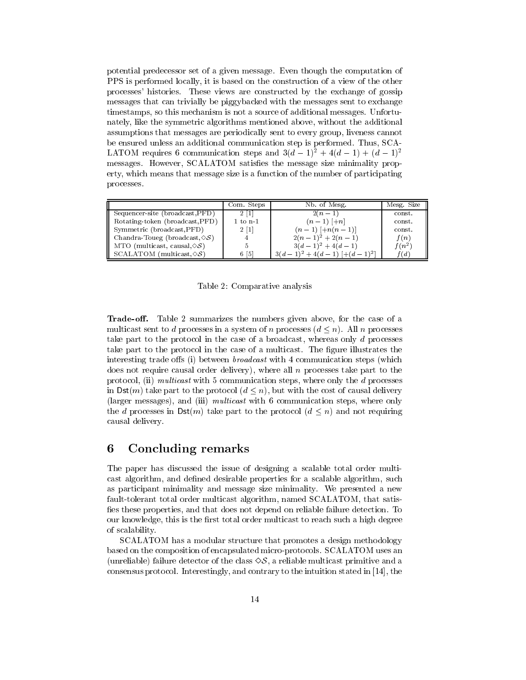potential predecessor set of a given message. Even though the computation of PPS is performed locally, it is based on the construction of a view of the other processes' histories. These views are constructed by the exchange of gossip messages that can trivially be piggybacked with the messages sent to exchange timestamps, so this mechanism is not a source of additional messages. Unfortunately, like the symmetric algorithms mentioned above, without the additional assumptions that messages are periodically sent to every group, liveness cannot be ensured unless an additional communication step is performed. Thus, SCA-LATOM requires 6 communication steps and  $3(d-1)^2 + 4(d-1) + (d-1)^2$ messages. However, SCALATOM satisfies the message size minimality property, which means that message size is a function of the number of participating processes.

|                                          | Com. Steps | Nb. of Mesg.                     | Mesg Size |
|------------------------------------------|------------|----------------------------------|-----------|
| Sequencer-site (broadcast, PFD)          | 2 III      | $2(n-1)$                         | const.    |
| Rotating-token (broadcast, PFD)          | 1 to n-1   | $(n-1)$ [+n]                     | const.    |
| Symmetric (broadcast, PFD)               | $2 \;  1 $ | $(n-1)$ [+n(n-1)]                | const.    |
| Chandra-Toueg (broadcast, $\Diamond S$ ) |            | $2(n-1)^2+2(n-1)$                | f(n)      |
| MTO (multicast, causal, $\Diamond S$ )   |            | $3(d-1)^2+4(d-1)$                | $f(n^2)$  |
| SCALATOM (multicast, $\Diamond S$ )      | 6 [5]      | $3(d-1)^2 + 4(d-1)$ $[+(d-1)^2]$ | f(d)      |

Table 2: Comparative analysis

**Trade-off.** Table 2 summarizes the numbers given above, for the case of a multicast sent to d processes in a system of n processes  $(d \leq n)$ . All n processes take part to the protocol in the case of a broadcast, whereas only <sup>d</sup> processes take part to the protocol in the case of a multicast. The figure illustrates the interesting trade offs (i) between *broadcast* with 4 communication steps (which does not require causal order delivery), where all  $n$  processes take part to the protocol, (ii) multicast with 5 communication steps, where only the <sup>d</sup> processes in  $\mathrm{Dst}(m)$  take part to the protocol  $(d \leq n)$ , but with the cost of causal delivery (larger messages), and (iii) multicast with 6 communication steps, where only the d processes in  $\text{Dst}(m)$  take part to the protocol  $(d \leq n)$  and not requiring causal delivery.

### 6 Concluding remarks

The paper has discussed the issue of designing a scalable total order multicast algorithm, and defined desirable properties for a scalable algorithm, such as participant minimality and message size minimality. We presented a new fault-tolerant total order multicast algorithm, named SCALATOM, that satis fies these properties, and that does not depend on reliable failure detection. To our knowledge, this is the first total order multicast to reach such a high degree of scalability.

SCALATOM has a modular structure that promotes a design methodology based on the composition of encapsulated micro-protocols. SCALATOM uses an (unreliable) failure detector of the class  $\Diamond S$ , a reliable multicast primitive and a consensus protocol. Interestingly, and contrary to the intuition stated in [14], the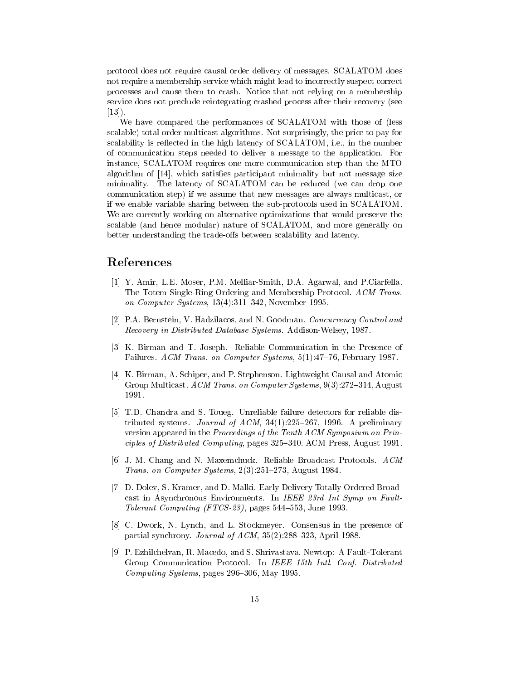protocol does not require causal order delivery of messages. SCALATOM does not require a membership service which might lead to incorrectly suspect correct processes and cause them to crash. Notice that not relying on a membership service does not preclude reintegrating crashed process after their recovery (see [13]).

We have compared the performances of SCALATOM with those of (less scalable) total order multicast algorithms. Not surprisingly, the price to pay for scalability is reflected in the high latency of SCALATOM, i.e., in the number of communication steps needed to deliver a message to the application. For instance, SCALATOM requires one more communication step than the MTO algorithm of [14], which satisfies participant minimality but not message size minimality. The latency of SCALATOM can be reduced (we can drop one communication step) if we assume that new messages are always multicast, or if we enable variable sharing between the sub-protocols used in SCALATOM. We are currently working on alternative optimizations that would preserve the scalable (and hence modular) nature of SCALATOM, and more generally on better understanding the trade-offs between scalability and latency.

### References

- [1] Y. Amir, L.E. Moser, P.M. Melliar-Smith, D.A. Agarwal, and P.Ciarfella. The Totem Single-Ring Ordering and Membership Protocol. ACM Trans. on Computer Systems,  $13(4):311-342$ , November 1995.
- [2] P.A. Bernstein, V. Hadzilacos, and N. Goodman. Concurrency Control and Recovery in Distributed Database Systems. Addison-Welsey, 1987.
- [3] K. Birman and T. Joseph. Reliable Communication in the Presence of Failures. ACM Trans. on Computer Systems,  $5(1):47-76$ , February 1987.
- [4] K. Birman, A. Schiper, and P. Stephenson. Lightweight Causal and Atomic Group Multicast. ACM Trans. on Computer Systems,  $9(3):272-314$ , August 1991.
- [5] T.D. Chandra and S. Toueg. Unreliable failure detectors for reliable distributed systems. Journal of ACM,  $34(1):225-267$ , 1996. A preliminary version appeared in the Proceedings of the Tenth ACM Symposium on Principles of Distributed Computing, pages 325-340. ACM Press, August 1991.
- [6] J. M. Chang and N. Maxemchuck. Reliable Broadcast Protocols. ACM Trans. on Computer Systems,  $2(3):251{-}273$ , August 1984.
- [7] D. Dolev, S. Kramer, and D. Malki. Early Delivery Totally Ordered Broadcast in Asynchronous Environments. In IEEE 23rd Int Symp on Fault-Tolerant Computing (FTCS-23), pages  $544-553$ , June 1993.
- [8] C. Dwork, N. Lynch, and L. Stockmeyer. Consensus in the presence of partial synchrony. Journal of  $ACM$ ,  $35(2):288{-}323$ , April 1988.
- [9] P. Ezhilchelvan, R. Macedo, and S. Shrivastava. Newtop: A Fault-Tolerant Group Communication Protocol. In IEEE 15th Intl. Conf. Distributed *Computing Systems, pages 296–306, May 1995.*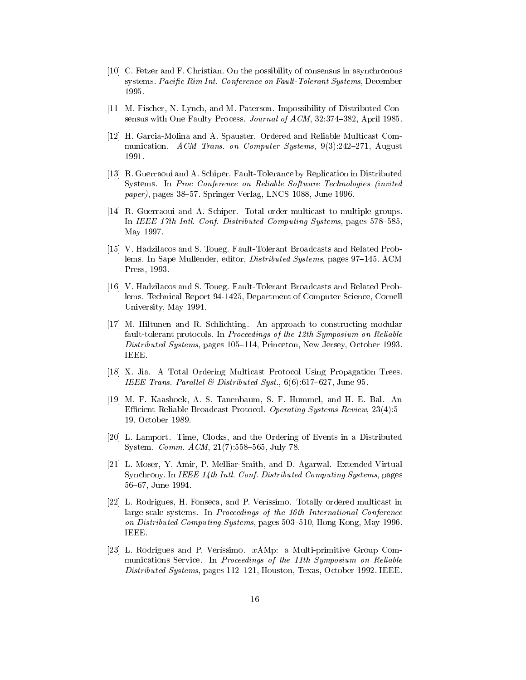- [10] C. Fetzer and F. Christian. On the possibility of consensus in asynchronous systems. Pacific Rim Int. Conference on Fault-Tolerant Systems, December 1995.
- [11] M. Fischer, N. Lynch, and M. Paterson. Impossibility of Distributed Consensus with One Faulty Process. Journal of ACM, 32:374-382, April 1985.
- [12] H. Garcia-Molina and A. Spauster. Ordered and Reliable Multicast Com munication. ACM Trans. on Computer Systems,  $9(3):242-271$ , August 1991.
- [13] R. Guerraoui and A. Schiper. Fault-Tolerance by Replication in Distributed Systems. In Proc Conference on Reliable Software Technologies (invited  $paper$ ), pages 38–57. Springer Verlag, LNCS 1088, June 1996.
- [14] R. Guerraoui and A. Schiper. Total order multicast to multiple groups. In IEEE 17th Intl. Conf. Distributed Computing Systems, pages  $578–585$ , May 1997.
- [15] V. Hadzilacos and S. Toueg. Fault-Tolerant Broadcasts and Related Problems. In Sape Mullender, editor, *Distributed Systems*, pages 97-145. ACM Press, 1993.
- [16] V. Hadzilacos and S. Toueg. Fault-Tolerant Broadcasts and Related Problems. Technical Report 94-1425, Department of Computer Science, Cornell University, May 1994.
- [17] M. Hiltunen and R. Schlichting. An approach to constructing modular fault-tolerant protocols. In Proceedings of the 12th Symposium on Reliable Distributed Systems, pages 105-114, Princeton, New Jersey, October 1993. IEEE.
- [18] X. Jia. A Total Ordering Multicast Protocol Using Propagation Trees. IEEE Trans. Parallel & Distributed Syst.,  $6(6):617{-}627$ , June 95.
- [19] M. F. Kaashoek, A. S. Tanenbaum, S. F. Hummel, and H. E. Bal. An Efficient Reliable Broadcast Protocol. Operating Systems Review,  $23(4):5$ 19, October 1989.
- [20] L. Lamport. Time, Clocks, and the Ordering of Events in a Distributed System. Comm.  $ACM$ ,  $21(7):558–565$ , July 78.
- [21] L. Moser, Y. Amir, P. Melliar-Smith, and D. Agarwal. Extended Virtual Synchrony. In IEEE 14th Intl. Conf. Distributed Computing Systems, pages 56{67, June 1994.
- [22] L. Rodrigues, H. Fonseca, and P. Verissimo. Totally ordered multicast in large-scale systems. In Proceedings of the 16th International Conference on Distributed Computing Systems, pages 503-510, Hong Kong, May 1996. IEEE.
- [23] L. Rodrigues and P. Verissimo.  $xAMp$ : a Multi-primitive Group Communications Service. In Proceedings of the 11th Symposium on Reliable Distributed Systems, pages 112-121, Houston, Texas, October 1992. IEEE.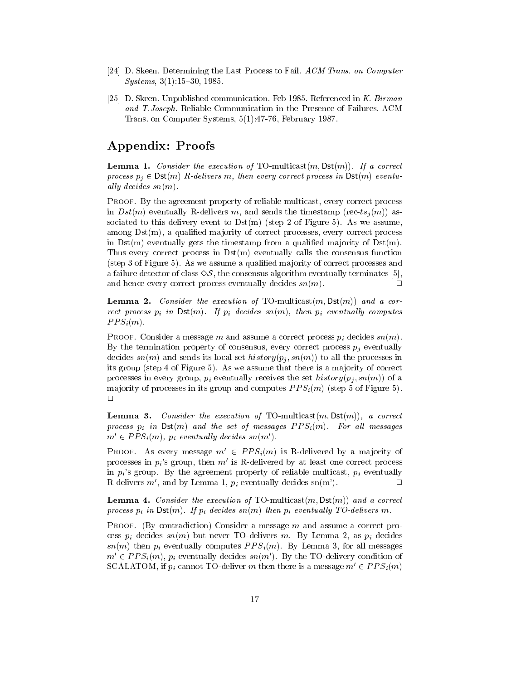- [24] D. Skeen. Determining the Last Process to Fail. ACM Trans. on Computer  $Systems, 3(1):15–30, 1985.$
- [25] D. Skeen. Unpublished communication. Feb 1985. Referenced in K. Birman and T.Joseph. Reliable Communication in the Presence of Failures. ACM Trans. on Computer Systems, 5(1):47-76, February 1987.

## Appendix: Proofs

**Lemma 1.** Consider the execution of TO-multicast $(m, \text{Dst}(m))$ . If a correct process  $p_i \in \text{Dst}(m)$  R-delivers m, then every correct process in  $\text{Dst}(m)$  eventually decides  $sn(m)$ .

Proof. By the agreement property of reliable multicast, every correct process in  $Dst(m)$  eventually R-delivers m, and sends the timestamp (rec-ts<sub>i</sub> $(m)$ ) associated to this delivery event to  $Dst(m)$  (step 2 of Figure 5). As we assume, among  $Dst(m)$ , a qualified majority of correct processes, every correct process in  $Dst(m)$  eventually gets the timestamp from a qualified majority of  $Dst(m)$ . Thus every correct process in  $Dst(m)$  eventually calls the consensus function (step 3 of Figure 5). As we assume a qualied ma jority of correct processes and a failure detector of class  $\Diamond S$ , the consensus algorithm eventually terminates [5], and hence every correct process eventually decides  $sn(m)$ .  $\Box$ 

**Lemma 2.** Consider the execution of TO-multicast $(m, \text{Dst}(m))$  and a correct process  $p_i$  in  $\mathsf{Dst}(m)$ . If  $p_i$  decides  $sn(m)$ , then  $p_i$  eventually computes  $PPS_i(m)$ .

PROOF. Consider a message m and assume a correct process  $p_i$  decides  $sn(m)$ . By the termination property of consensus, every correct process  $p_i$  eventually decides  $sn(m)$  and sends its local set history $(p_i, sn(m))$  to all the processes in its group (step 4 of Figure 5). As we assume that there is a majority of correct processes in every group,  $p_i$  eventually receives the set  $history(p_i, sn(m))$  of a majority of processes in its group and computes  $PPS_i(m)$  (step 5 of Figure 5).  $\Box$ 

**Lemma 3.** Consider the execution of TO-multicast $(m, \text{Dst}(m))$ , a correct process  $p_i$  in  $\text{Dst}(m)$  and the set of messages  $PPS_i(m)$ . For all messages  $m' \in PPS_i(m)$ ,  $p_i$  eventually decides  $sn(m')$ .

PROOF. As every message  $m' \in PPS_i(m)$  is R-delivered by a majority of processes in  $p_i$ 's group, then  $m'$  is R-delivered by at least one correct process in  $p_i$ 's group. By the agreement property of reliable multicast,  $p_i$  eventually R-delivers m', and by Lemma 1,  $p_i$  eventually decides sn(m').

**Lemma 4.** Consider the execution of TO-multicast $(m, \text{Dst}(m))$  and a correct process  $p_i$  in  $\text{Dst}(m)$ . If  $p_i$  decides  $sn(m)$  then  $p_i$  eventually TO-delivers m.

PROOF. (By contradiction) Consider a message m and assume a correct process  $p_i$  decides  $sn(m)$  but never TO-delivers m. By Lemma 2, as  $p_i$  decides  $sn(m)$  then  $p_i$  eventually computes  $PPS_i(m)$ . By Lemma 3, for all messages  $m' \in PPS_i(m)$ ,  $p_i$  eventually decides  $sn(m')$ . By the TO-delivery condition of SCALATOM, if  $p_i$  cannot TO-deliver m then there is a message  $m' \in PPS_i(m)$